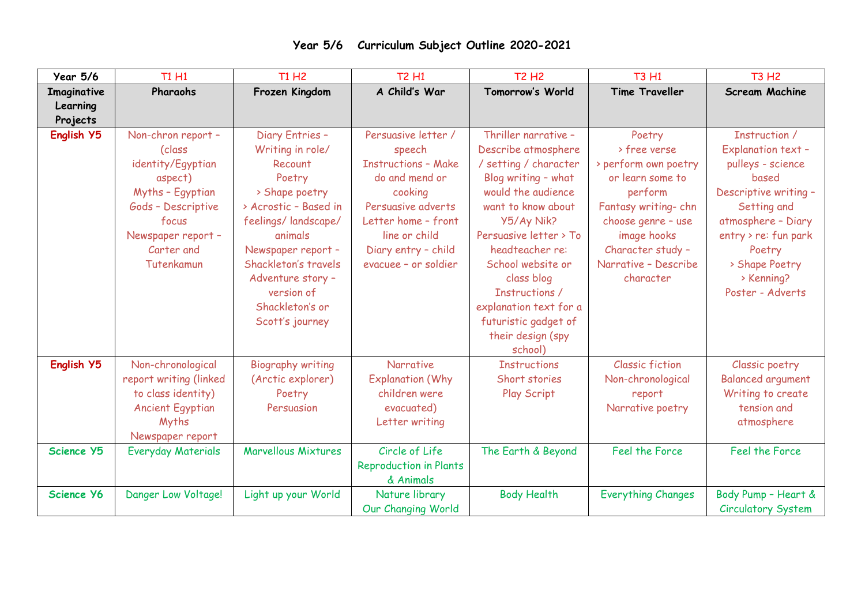| <b>Year 5/6</b>   | <b>T1 H1</b>                                                                                                              | <b>T1 H2</b>                                                                                                        | <b>T2 H1</b>                                                                                 | <b>T2 H2</b>                                                                                                                                           | <b>T3 H1</b>                                                              | <b>T3 H2</b>                                                                                 |
|-------------------|---------------------------------------------------------------------------------------------------------------------------|---------------------------------------------------------------------------------------------------------------------|----------------------------------------------------------------------------------------------|--------------------------------------------------------------------------------------------------------------------------------------------------------|---------------------------------------------------------------------------|----------------------------------------------------------------------------------------------|
| Imaginative       | Pharaohs                                                                                                                  | Frozen Kingdom                                                                                                      | A Child's War                                                                                | Tomorrow's World                                                                                                                                       | <b>Time Traveller</b>                                                     | <b>Scream Machine</b>                                                                        |
| Learning          |                                                                                                                           |                                                                                                                     |                                                                                              |                                                                                                                                                        |                                                                           |                                                                                              |
| Projects          |                                                                                                                           |                                                                                                                     |                                                                                              |                                                                                                                                                        |                                                                           |                                                                                              |
| English Y5        | Non-chron report -<br>(class                                                                                              | Diary Entries -<br>Writing in role/                                                                                 | Persuasive letter /<br>speech                                                                | Thriller narrative -<br>Describe atmosphere                                                                                                            | Poetry<br>> free verse                                                    | Instruction /<br><b>Explanation text-</b>                                                    |
|                   | identity/Egyptian<br>aspect)                                                                                              | Recount<br>Poetry                                                                                                   | <b>Instructions - Make</b><br>do and mend or                                                 | / setting / character<br>Blog writing - what                                                                                                           | > perform own poetry<br>or learn some to                                  | pulleys - science<br>based                                                                   |
|                   | Myths - Egyptian<br>Gods - Descriptive                                                                                    | > Shape poetry<br>> Acrostic - Based in                                                                             | cooking<br>Persuasive adverts                                                                | would the audience<br>want to know about                                                                                                               | perform<br>Fantasy writing-chn                                            | Descriptive writing -<br>Setting and                                                         |
|                   | focus<br>Newspaper report -                                                                                               | feelings/landscape/<br>animals                                                                                      | Letter home - front<br>line or child                                                         | Y5/Ay Nik?<br>Persuasive letter > To                                                                                                                   | choose genre - use<br>image hooks                                         | atmosphere - Diary<br>entry > re: fun park                                                   |
|                   | Carter and<br>Tutenkamun                                                                                                  | Newspaper report -<br>Shackleton's travels<br>Adventure story -<br>version of<br>Shackleton's or<br>Scott's journey | Diary entry - child<br>evacuee - or soldier                                                  | headteacher re:<br>School website or<br>class blog<br>Instructions /<br>explanation text for a<br>futuristic gadget of<br>their design (spy<br>school) | Character study -<br>Narrative - Describe<br>character                    | Poetry<br>> Shape Poetry<br>> Kenning?<br>Poster - Adverts                                   |
| English Y5        | Non-chronological<br>report writing (linked<br>to class identity)<br><b>Ancient Egyptian</b><br>Myths<br>Newspaper report | <b>Biography writing</b><br>(Arctic explorer)<br>Poetry<br>Persuasion                                               | <b>Narrative</b><br><b>Explanation (Why</b><br>children were<br>evacuated)<br>Letter writing | <b>Instructions</b><br>Short stories<br>Play Script                                                                                                    | <b>Classic fiction</b><br>Non-chronological<br>report<br>Narrative poetry | Classic poetry<br><b>Balanced argument</b><br>Writing to create<br>tension and<br>atmosphere |
| Science Y5        | <b>Everyday Materials</b>                                                                                                 | <b>Marvellous Mixtures</b>                                                                                          | Circle of Life<br><b>Reproduction in Plants</b><br>& Animals                                 | The Earth & Beyond                                                                                                                                     | Feel the Force                                                            | Feel the Force                                                                               |
| <b>Science Y6</b> | Danger Low Voltage!                                                                                                       | Light up your World                                                                                                 | Nature library<br>Our Changing World                                                         | <b>Body Health</b>                                                                                                                                     | <b>Everything Changes</b>                                                 | Body Pump - Heart &<br><b>Circulatory System</b>                                             |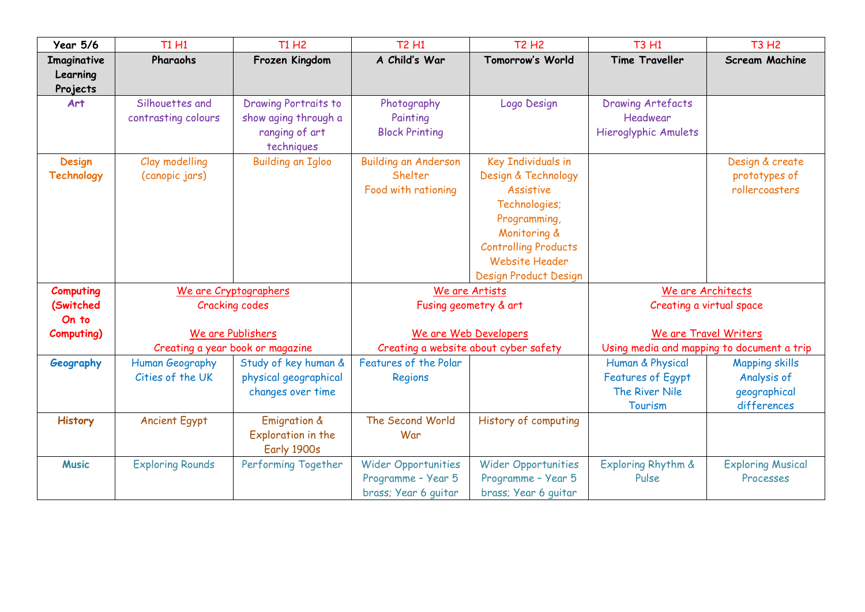| <b>Year 5/6</b>   | <b>T1 H1</b>            | <b>T1 H2</b>                           | <b>T2 H1</b>                | <b>T2 H2</b>                          | <b>T3 H1</b>                | <b>T3 H2</b>                               |  |
|-------------------|-------------------------|----------------------------------------|-----------------------------|---------------------------------------|-----------------------------|--------------------------------------------|--|
| Imaginative       | Pharaohs                | Frozen Kingdom                         | A Child's War               | Tomorrow's World                      | <b>Time Traveller</b>       | <b>Scream Machine</b>                      |  |
| Learning          |                         |                                        |                             |                                       |                             |                                            |  |
| Projects          |                         |                                        |                             |                                       |                             |                                            |  |
| Art               | Silhouettes and         | <b>Drawing Portraits to</b>            | Photography                 | Logo Design                           | <b>Drawing Artefacts</b>    |                                            |  |
|                   | contrasting colours     | show aging through a                   | Painting                    |                                       | Headwear                    |                                            |  |
|                   |                         | ranging of art                         | <b>Block Printing</b>       |                                       | <b>Hieroglyphic Amulets</b> |                                            |  |
| <b>Design</b>     | Clay modelling          | techniques<br><b>Building an Igloo</b> | <b>Building an Anderson</b> | <b>Key Individuals in</b>             |                             | Design & create                            |  |
| <b>Technology</b> | (canopic jars)          |                                        | Shelter                     | Design & Technology                   |                             | prototypes of                              |  |
|                   |                         |                                        | Food with rationing         | <b>Assistive</b>                      |                             | rollercoasters                             |  |
|                   |                         |                                        |                             | Technologies;                         |                             |                                            |  |
|                   |                         |                                        |                             | Programming,                          |                             |                                            |  |
|                   |                         |                                        |                             | Monitoring &                          |                             |                                            |  |
|                   |                         |                                        |                             | <b>Controlling Products</b>           |                             |                                            |  |
|                   |                         |                                        |                             | <b>Website Header</b>                 |                             |                                            |  |
|                   |                         |                                        |                             | Design Product Design                 |                             |                                            |  |
| <b>Computing</b>  | We are Cryptographers   |                                        | We are Artists              |                                       | We are Architects           |                                            |  |
| (Switched         | <b>Cracking codes</b>   |                                        | Fusing geometry & art       |                                       | Creating a virtual space    |                                            |  |
| On to             |                         |                                        |                             |                                       |                             |                                            |  |
| <b>Computing)</b> | We are Publishers       |                                        | We are Web Developers       |                                       | We are Travel Writers       |                                            |  |
|                   |                         | Creating a year book or magazine       |                             | Creating a website about cyber safety |                             | Using media and mapping to document a trip |  |
| Geography         | Human Geography         | Study of key human &                   | Features of the Polar       |                                       | Human & Physical            | <b>Mapping skills</b>                      |  |
|                   | Cities of the UK        | physical geographical                  | Regions                     |                                       | <b>Features of Egypt</b>    | Analysis of                                |  |
|                   |                         | changes over time                      |                             |                                       | The River Nile              | geographical                               |  |
|                   |                         |                                        | The Second World            |                                       | Tourism                     | differences                                |  |
| <b>History</b>    | <b>Ancient Egypt</b>    | <b>Emigration &amp;</b>                | War                         | History of computing                  |                             |                                            |  |
|                   |                         | Exploration in the<br>Early 1900s      |                             |                                       |                             |                                            |  |
| <b>Music</b>      | <b>Exploring Rounds</b> | Performing Together                    | <b>Wider Opportunities</b>  | <b>Wider Opportunities</b>            | Exploring Rhythm &          | <b>Exploring Musical</b>                   |  |
|                   |                         |                                        | Programme - Year 5          | Programme - Year 5                    | Pulse                       | Processes                                  |  |
|                   |                         |                                        | brass; Year 6 quitar        | brass; Year 6 guitar                  |                             |                                            |  |